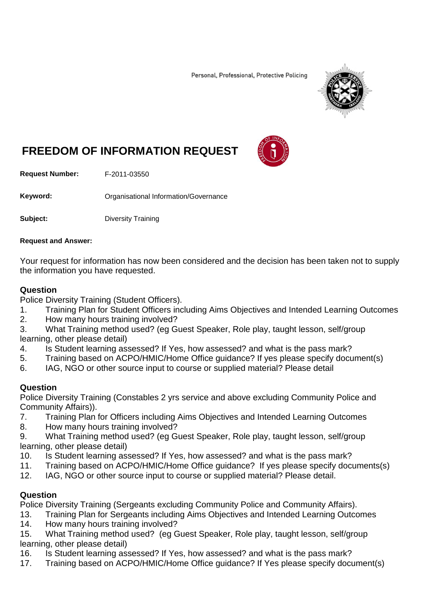Personal, Professional, Protective Policing



## **FREEDOM OF INFORMATION REQUEST**

**Request Number:** F-2011-03550

**Keyword: C**rganisational Information/Governance

**Subject:** Diversity Training

#### **Request and Answer:**

Your request for information has now been considered and the decision has been taken not to supply the information you have requested.

## **Question**

Police Diversity Training (Student Officers).

- 1. Training Plan for Student Officers including Aims Objectives and Intended Learning Outcomes
- 2. How many hours training involved?

3. What Training method used? (eg Guest Speaker, Role play, taught lesson, self/group learning, other please detail)

- 4. Is Student learning assessed? If Yes, how assessed? and what is the pass mark?
- 5. Training based on ACPO/HMIC/Home Office guidance? If yes please specify document(s)
- 6. IAG, NGO or other source input to course or supplied material? Please detail

#### **Question**

Police Diversity Training (Constables 2 yrs service and above excluding Community Police and Community Affairs)).<br>7. Training Plan

- 7. Training Plan for Officers including Aims Objectives and Intended Learning Outcomes
- 8. How many hours training involved?

9. What Training method used? (eg Guest Speaker, Role play, taught lesson, self/group learning, other please detail)

- 10. Is Student learning assessed? If Yes, how assessed? and what is the pass mark?
- 11. Training based on ACPO/HMIC/Home Office guidance? If yes please specify documents(s)
- 12. IAG, NGO or other source input to course or supplied material? Please detail.

## **Question**

Police Diversity Training (Sergeants excluding Community Police and Community Affairs).

- 13. Training Plan for Sergeants including Aims Objectives and Intended Learning Outcomes
- 14. How many hours training involved?

15. What Training method used? (eg Guest Speaker, Role play, taught lesson, self/group learning, other please detail)

- 16. Is Student learning assessed? If Yes, how assessed? and what is the pass mark?
- 17. Training based on ACPO/HMIC/Home Office guidance? If Yes please specify document(s)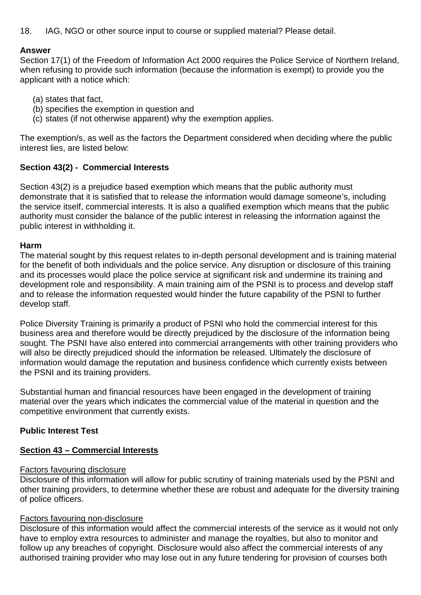18. IAG, NGO or other source input to course or supplied material? Please detail.

#### **Answer**

Section 17(1) of the Freedom of Information Act 2000 requires the Police Service of Northern Ireland, when refusing to provide such information (because the information is exempt) to provide you the applicant with a notice which:

- (a) states that fact,
- (b) specifies the exemption in question and
- (c) states (if not otherwise apparent) why the exemption applies.

The exemption/s, as well as the factors the Department considered when deciding where the public interest lies, are listed below:

## **Section 43(2) - Commercial Interests**

Section 43(2) is a prejudice based exemption which means that the public authority must demonstrate that it is satisfied that to release the information would damage someone's, including the service itself, commercial interests. It is also a qualified exemption which means that the public authority must consider the balance of the public interest in releasing the information against the public interest in withholding it.

## **Harm**

The material sought by this request relates to in-depth personal development and is training material for the benefit of both individuals and the police service. Any disruption or disclosure of this training and its processes would place the police service at significant risk and undermine its training and development role and responsibility. A main training aim of the PSNI is to process and develop staff and to release the information requested would hinder the future capability of the PSNI to further develop staff.

Police Diversity Training is primarily a product of PSNI who hold the commercial interest for this business area and therefore would be directly prejudiced by the disclosure of the information being sought. The PSNI have also entered into commercial arrangements with other training providers who will also be directly prejudiced should the information be released. Ultimately the disclosure of information would damage the reputation and business confidence which currently exists between the PSNI and its training providers.

Substantial human and financial resources have been engaged in the development of training material over the years which indicates the commercial value of the material in question and the competitive environment that currently exists.

## **Public Interest Test**

## **Section 43 – Commercial Interests**

#### Factors favouring disclosure

Disclosure of this information will allow for public scrutiny of training materials used by the PSNI and other training providers, to determine whether these are robust and adequate for the diversity training of police officers.

#### Factors favouring non-disclosure

Disclosure of this information would affect the commercial interests of the service as it would not only have to employ extra resources to administer and manage the royalties, but also to monitor and follow up any breaches of copyright. Disclosure would also affect the commercial interests of any authorised training provider who may lose out in any future tendering for provision of courses both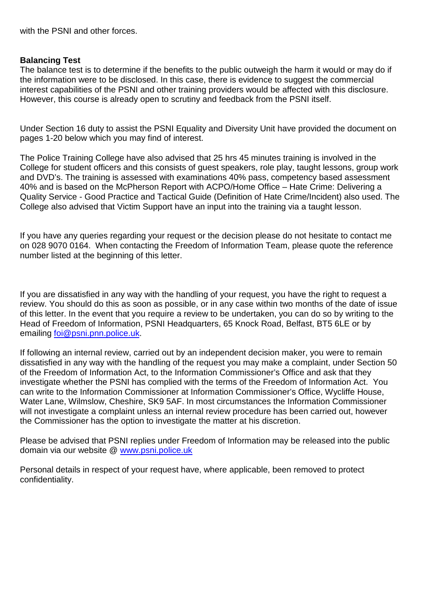with the PSNI and other forces.

#### **Balancing Test**

The balance test is to determine if the benefits to the public outweigh the harm it would or may do if the information were to be disclosed. In this case, there is evidence to suggest the commercial interest capabilities of the PSNI and other training providers would be affected with this disclosure. However, this course is already open to scrutiny and feedback from the PSNI itself.

Under Section 16 duty to assist the PSNI Equality and Diversity Unit have provided the document on pages 1-20 below which you may find of interest.

The Police Training College have also advised that 25 hrs 45 minutes training is involved in the College for student officers and this consists of guest speakers, role play, taught lessons, group work and DVD's. The training is assessed with examinations 40% pass, competency based assessment 40% and is based on the McPherson Report with ACPO/Home Office – Hate Crime: Delivering a Quality Service - Good Practice and Tactical Guide (Definition of Hate Crime/Incident) also used. The College also advised that Victim Support have an input into the training via a taught lesson.

If you have any queries regarding your request or the decision please do not hesitate to contact me on 028 9070 0164. When contacting the Freedom of Information Team, please quote the reference number listed at the beginning of this letter.

If you are dissatisfied in any way with the handling of your request, you have the right to request a review. You should do this as soon as possible, or in any case within two months of the date of issue of this letter. In the event that you require a review to be undertaken, you can do so by writing to the Head of Freedom of Information, PSNI Headquarters, 65 Knock Road, Belfast, BT5 6LE or by emailing [foi@psni.pnn.police.uk.](mailto:foi@psni.pnn.police.uk)

If following an internal review, carried out by an independent decision maker, you were to remain dissatisfied in any way with the handling of the request you may make a complaint, under Section 50 of the Freedom of Information Act, to the Information Commissioner's Office and ask that they investigate whether the PSNI has complied with the terms of the Freedom of Information Act. You can write to the Information Commissioner at Information Commissioner's Office, Wycliffe House, Water Lane, Wilmslow, Cheshire, SK9 5AF. In most circumstances the Information Commissioner will not investigate a complaint unless an internal review procedure has been carried out, however the Commissioner has the option to investigate the matter at his discretion.

Please be advised that PSNI replies under Freedom of Information may be released into the public domain via our website @ [www.psni.police.uk](http://www.psni.police.uk/)

Personal details in respect of your request have, where applicable, been removed to protect confidentiality.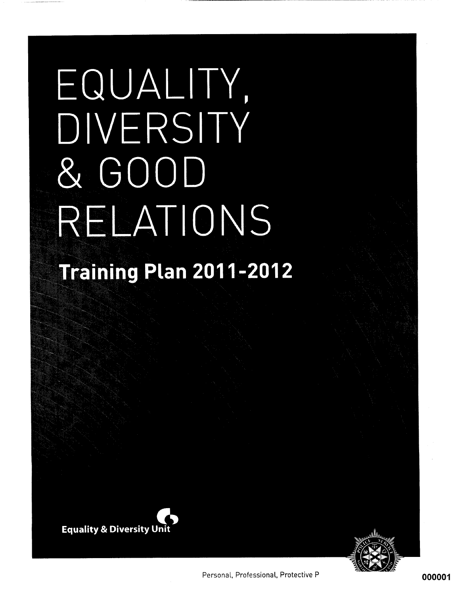# EQUALITY, DIVERSITY & GOOD RELATIONS **Training Plan 2011-2012**



Personal, Professional, Protective P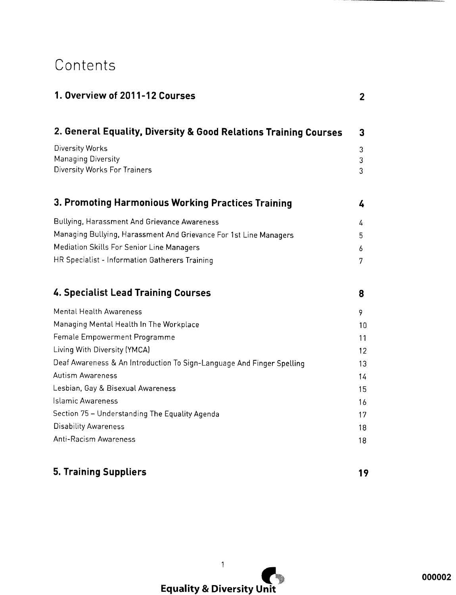# Contents

| 1. Overview of 2011-12 Courses                                               | $\mathbf{2}$ |
|------------------------------------------------------------------------------|--------------|
| 2. General Equality, Diversity & Good Relations Training Courses             | 3            |
| Diversity Works<br><b>Managing Diversity</b><br>Diversity Works For Trainers | 3<br>3<br>3  |
| 3. Promoting Harmonious Working Practices Training                           | 4            |
| Bullying, Harassment And Grievance Awareness                                 | 4            |
| Managing Bullying, Harassment And Grievance For 1st Line Managers            | 5.           |
| Mediation Skills For Senior Line Managers                                    | 6            |
| HR Specialist - Information Gatherers Training                               | 7            |
| <b>4. Specialist Lead Training Courses</b>                                   | 8            |
| Mental Health Awareness                                                      | 9.           |
| Managing Mental Health In The Workplace                                      | 10           |
| Female Empowerment Programme                                                 | 11           |
| Living With Diversity (YMCA)                                                 | 12           |
| Deaf Awareness & An Introduction To Sign-Language And Finger Spelling        | 13           |
| Autism Awareness                                                             | 14           |
| Lesbian, Gay & Bisexual Awareness                                            | 15           |
| Islamic Awareness                                                            | 16           |
| Section 75 – Understanding The Equality Agenda                               | 17           |
| <b>Disability Awareness</b>                                                  | 18           |
| Anti-Racism Awareness                                                        | 18           |
|                                                                              |              |

## **5. Training Suppliers**

19

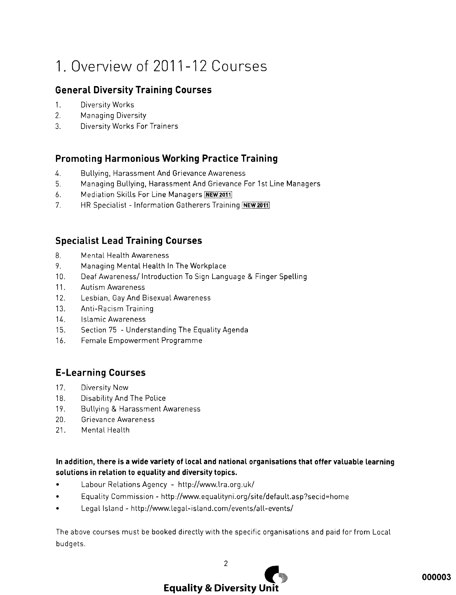# 1. Overview of 2011-12 Courses

## **General Diversity Training Courses**

- $1.$ Diversity Works
- $2.$ **Managing Diversity**
- $\mathcal{R}$ **Diversity Works For Trainers**

## **Promoting Harmonious Working Practice Training**

- $\overline{4}$ . Bullying, Harassment And Grievance Awareness
- 5. Managing Bullying, Harassment And Grievance For 1st Line Managers
- 6. Mediation Skills For Line Managers NEW 2011
- $7<sub>1</sub>$ HR Specialist - Information Gatherers Training NEW 2011

## **Specialist Lead Training Courses**

- 8. **Mental Health Awareness**
- 9. Managing Mental Health In The Workplace
- $10<sub>1</sub>$ Deaf Awareness/Introduction To Sign Language & Finger Spelling
- $11.$ **Autism Awareness**
- $12.$ Lesbian, Gay And Bisexual Awareness
- $13.$ Anti-Racism Training
- $14.$ **Islamic Awareness**
- $15.$ Section 75 - Understanding The Equality Agenda
- $16.$ Female Empowerment Programme

## **E-Learning Courses**

- $17.$ Diversity Now
- Disability And The Police  $18.$
- 19. Bullying & Harassment Awareness
- $20.$ **Grievance Awareness**
- $21<sub>1</sub>$ Mental Health

#### In addition, there is a wide variety of local and national organisations that offer valuable learning solutions in relation to equality and diversity topics.

- Labour Relations Agency http://www.lra.org.uk/
- Equality Commission http://www.equalityni.org/site/default.asp?secid=home
- Legal Island http://www.legal-island.com/events/all-events/

The above courses must be booked directly with the specific organisations and paid for from Local budgets.

**Equality & Diversity Unit** 

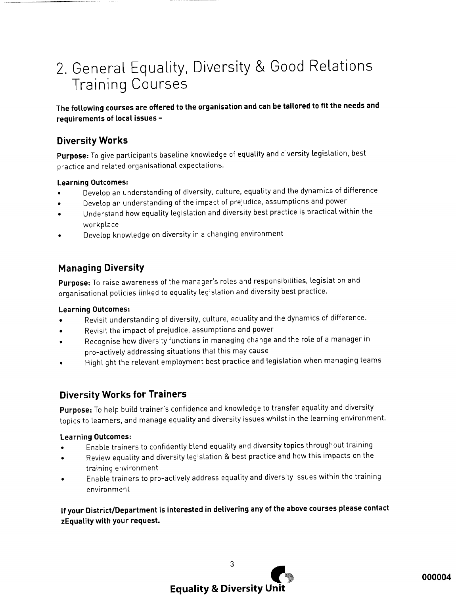# 2. General Equality, Diversity & Good Relations **Training Courses**

The following courses are offered to the organisation and can be tailored to fit the needs and requirements of local issues -

## **Diversity Works**

Purpose: To give participants baseline knowledge of equality and diversity legislation, best practice and related organisational expectations.

#### **Learning Outcomes:**

- Develop an understanding of diversity, culture, equality and the dynamics of difference
- Develop an understanding of the impact of prejudice, assumptions and power
- Understand how equality legislation and diversity best practice is practical within the workplace
- Develop knowledge on diversity in a changing environment

## **Managing Diversity**

Purpose: To raise awareness of the manager's roles and responsibilities, legislation and organisational policies linked to equality legislation and diversity best practice.

#### **Learning Outcomes:**

- Revisit understanding of diversity, culture, equality and the dynamics of difference.
- Revisit the impact of prejudice, assumptions and power  $\bullet$
- Recognise how diversity functions in managing change and the role of a manager in pro-actively addressing situations that this may cause
- Highlight the relevant employment best practice and legislation when managing teams

## **Diversity Works for Trainers**

Purpose: To help build trainer's confidence and knowledge to transfer equality and diversity topics to learners, and manage equality and diversity issues whilst in the learning environment.

#### **Learning Outcomes:**

- Enable trainers to confidently blend equality and diversity topics throughout training
- Review equality and diversity legislation & best practice and how this impacts on the  $\bullet$ training environment
- Enable trainers to pro-actively address equality and diversity issues within the training environment

If your District/Department is interested in delivering any of the above courses please contact zEquality with your request.

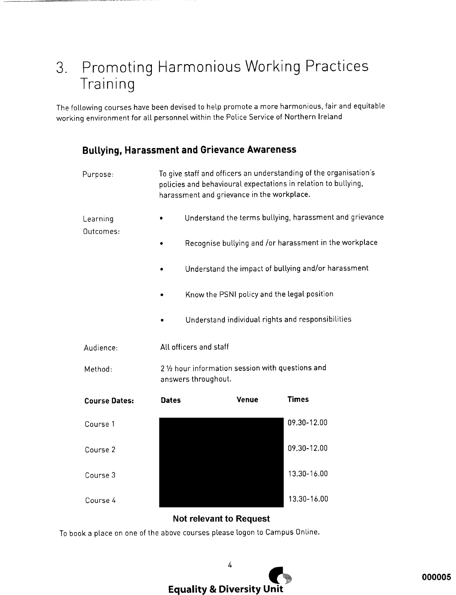# 3. Promoting Harmonious Working Practices Training

The following courses have been devised to help promote a more harmonious, fair and equitable working environment for all personnel within the Police Service of Northern Ireland

## **Bullying, Harassment and Grievance Awareness**

|                      |              |                                                                          | harassment and grievance in the workplace. | policies and behavioural expectations in relation to bullying, |  |  |
|----------------------|--------------|--------------------------------------------------------------------------|--------------------------------------------|----------------------------------------------------------------|--|--|
| Learning             |              |                                                                          |                                            | Understand the terms bullying, harassment and grievance        |  |  |
| Outcomes:            |              | Recognise bullying and /or harassment in the workplace                   |                                            |                                                                |  |  |
|                      |              |                                                                          |                                            | Understand the impact of bullying and/or harassment            |  |  |
|                      | $\bullet$    |                                                                          |                                            | Know the PSNI policy and the legal position                    |  |  |
|                      |              |                                                                          |                                            | Understand individual rights and responsibilities              |  |  |
| Audience:            |              | All officers and staff                                                   |                                            |                                                                |  |  |
| Method:              |              | 2 1/2 hour information session with questions and<br>answers throughout. |                                            |                                                                |  |  |
| <b>Course Dates:</b> | <b>Dates</b> |                                                                          | <b>Venue</b>                               | <b>Times</b>                                                   |  |  |
| Course 1             |              |                                                                          |                                            | 09.30-12.00                                                    |  |  |
| Course 2             |              |                                                                          |                                            | 09.30-12.00                                                    |  |  |
| Course 3             |              |                                                                          |                                            | 13.30-16.00                                                    |  |  |
| Course 4             |              |                                                                          |                                            | 13.30-16.00                                                    |  |  |
|                      |              |                                                                          |                                            |                                                                |  |  |

#### **Not relevant to Request**

To book a place on one of the above courses please logon to Campus Online.

4 **Equality & Diversity Unit**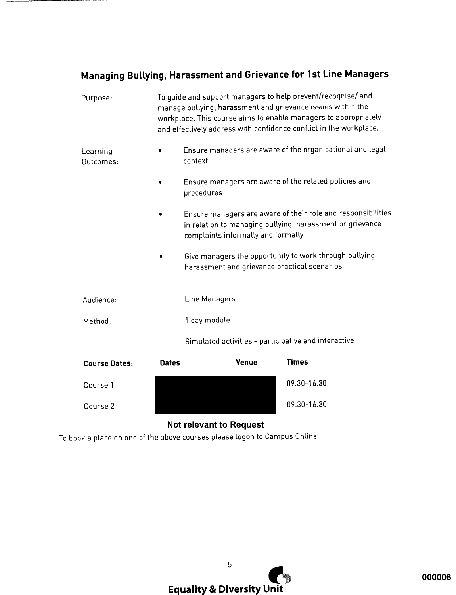## Managing Bullying, Harassment and Grievance for 1st Line Managers

|                       | natar | Timac<br>Vonuo                                                                                                                                                                                                                                                       |
|-----------------------|-------|----------------------------------------------------------------------------------------------------------------------------------------------------------------------------------------------------------------------------------------------------------------------|
|                       |       | Simulated activities - participative and interactive                                                                                                                                                                                                                 |
| Method:               |       | 1 day module                                                                                                                                                                                                                                                         |
| Audience:             |       | Line Managers                                                                                                                                                                                                                                                        |
|                       |       | Give managers the opportunity to work through bullying,<br>harassment and grievance practical scenarios                                                                                                                                                              |
|                       |       | Ensure managers are aware of their role and responsibilities<br>in relation to managing bullying, harassment or grievance<br>complaints informally and formally                                                                                                      |
|                       |       | Ensure managers are aware of the related policies and<br>procedures                                                                                                                                                                                                  |
| Learning<br>Outcomes: |       | Ensure managers are aware of the organisational and legal<br>context                                                                                                                                                                                                 |
| Purpose:              |       | To guide and support managers to help prevent/recognise/ and<br>manage bullying, harassment and grievance issues within the<br>workplace. This course aims to enable managers to appropriately<br>and effectively address with confidence conflict in the workplace. |

| <b>Course Dates:</b> | <b>Dates</b> | <b>Venue</b> | Times       |
|----------------------|--------------|--------------|-------------|
| Course 1             |              |              | 09.30-16.30 |
| Course 2             |              |              | 09.30-16.30 |

## **Not relevant to Request**

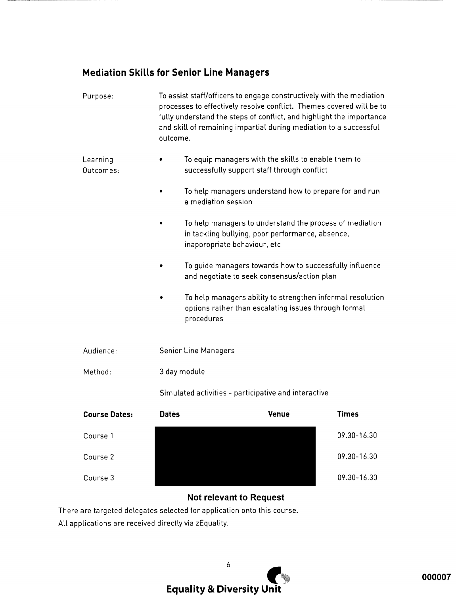## **Mediation Skills for Senior Line Managers**

| Purpose:              | outcome.     | To assist staff/officers to engage constructively with the mediation<br>processes to effectively resolve conflict. Themes covered will be to<br>fully understand the steps of conflict, and highlight the importance<br>and skill of remaining impartial during mediation to a successful |              |
|-----------------------|--------------|-------------------------------------------------------------------------------------------------------------------------------------------------------------------------------------------------------------------------------------------------------------------------------------------|--------------|
| Learning<br>Outcomes: |              | To equip managers with the skills to enable them to<br>successfully support staff through conflict                                                                                                                                                                                        |              |
|                       |              | To help managers understand how to prepare for and run<br>a mediation session                                                                                                                                                                                                             |              |
|                       |              | To help managers to understand the process of mediation<br>in tackling bullying, poor performance, absence,<br>inappropriate behaviour, etc                                                                                                                                               |              |
|                       |              | To guide managers towards how to successfully influence<br>and negotiate to seek consensus/action plan                                                                                                                                                                                    |              |
|                       |              | To help managers ability to strengthen informal resolution<br>options rather than escalating issues through formal<br>procedures                                                                                                                                                          |              |
| Audience:             |              | <b>Senior Line Managers</b>                                                                                                                                                                                                                                                               |              |
| Method:               |              | 3 day module                                                                                                                                                                                                                                                                              |              |
|                       |              | Simulated activities - participative and interactive                                                                                                                                                                                                                                      |              |
| <b>Course Dates:</b>  | <b>Dates</b> | Venue                                                                                                                                                                                                                                                                                     | <b>Times</b> |
| Course 1              |              |                                                                                                                                                                                                                                                                                           | 09.30-16.30  |
| Course 2              |              |                                                                                                                                                                                                                                                                                           | 09.30-16.30  |
| Course 3              |              |                                                                                                                                                                                                                                                                                           | 09.30-16.30  |

## **Not relevant to Request**

There are targeted delegates selected for application onto this course. All applications are received directly via zEquality.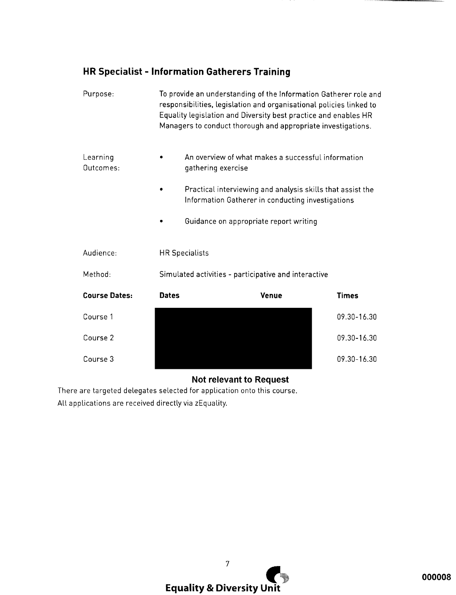## HR Specialist - Information Gatherers Training

| Purpose:              |              | To provide an understanding of the Information Gatherer role and<br>responsibilities, legislation and organisational policies linked to<br>Equality legislation and Diversity best practice and enables HR<br>Managers to conduct thorough and appropriate investigations. |              |
|-----------------------|--------------|----------------------------------------------------------------------------------------------------------------------------------------------------------------------------------------------------------------------------------------------------------------------------|--------------|
| Learning<br>Outcomes: |              | An overview of what makes a successful information<br>gathering exercise                                                                                                                                                                                                   |              |
|                       |              | Practical interviewing and analysis skills that assist the<br>Information Gatherer in conducting investigations                                                                                                                                                            |              |
|                       |              | Guidance on appropriate report writing                                                                                                                                                                                                                                     |              |
| Audience:             |              | <b>HR Specialists</b>                                                                                                                                                                                                                                                      |              |
| Method:               |              | Simulated activities - participative and interactive                                                                                                                                                                                                                       |              |
| <b>Course Dates:</b>  | <b>Dates</b> | <b>Venue</b>                                                                                                                                                                                                                                                               | <b>Times</b> |
| Course 1              |              |                                                                                                                                                                                                                                                                            | 09.30-16.30  |
| Course 2              |              |                                                                                                                                                                                                                                                                            | 09.30-16.30  |
| Course 3              |              |                                                                                                                                                                                                                                                                            | 09.30-16.30  |

## **Not relevant to Request**

There are targeted delegates selected for application onto this course. All applications are received directly via zEquality.

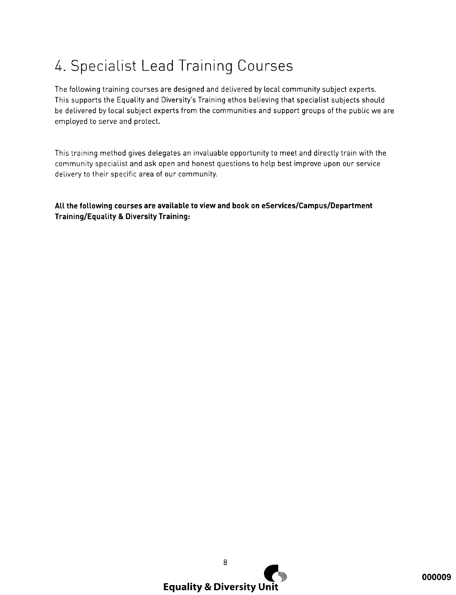# 4. Specialist Lead Training Courses

The following training courses are designed and delivered by local community subject experts. This supports the Equality and Diversity's Training ethos believing that specialist subjects should be delivered by local subject experts from the communities and support groups of the public we are employed to serve and protect.

This training method gives delegates an invaluable opportunity to meet and directly train with the community specialist and ask open and honest questions to help best improve upon our service delivery to their specific area of our community.

All the following courses are available to view and book on eServices/Campus/Department **Training/Equality & Diversity Training:** 

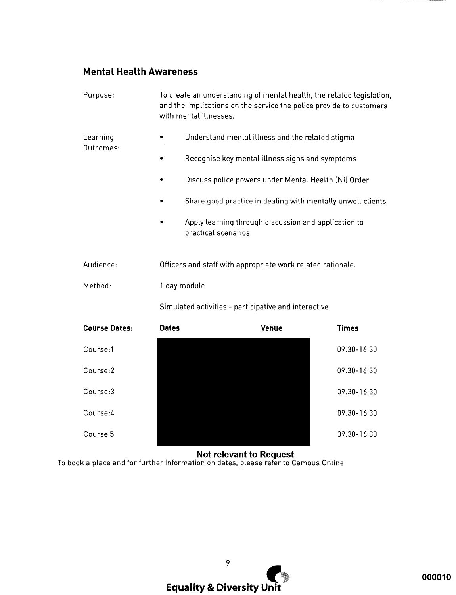## **Mental Health Awareness**

| Purpose:              |              | To create an understanding of mental health, the related legislation,<br>and the implications on the service the police provide to customers<br>with mental illnesses. |              |  |
|-----------------------|--------------|------------------------------------------------------------------------------------------------------------------------------------------------------------------------|--------------|--|
| Learning<br>Outcomes: |              | Understand mental illness and the related stigma                                                                                                                       |              |  |
|                       |              | Recognise key mental illness signs and symptoms                                                                                                                        |              |  |
|                       |              | Discuss police powers under Mental Health (NI) Order                                                                                                                   |              |  |
|                       |              | Share good practice in dealing with mentally unwell clients                                                                                                            |              |  |
|                       |              | Apply learning through discussion and application to<br>practical scenarios                                                                                            |              |  |
| Audience:             |              | Officers and staff with appropriate work related rationale.                                                                                                            |              |  |
| Method:               |              | 1 day module                                                                                                                                                           |              |  |
|                       |              | Simulated activities - participative and interactive                                                                                                                   |              |  |
| <b>Course Dates:</b>  | <b>Dates</b> | Venue                                                                                                                                                                  | <b>Times</b> |  |
| Course:1              |              |                                                                                                                                                                        | 09.30-16.30  |  |
| Course:2              |              |                                                                                                                                                                        | 09.30-16.30  |  |
| Course:3              |              |                                                                                                                                                                        | 09.30-16.30  |  |
| Course:4              |              |                                                                                                                                                                        | 09.30-16.30  |  |
| Course 5              |              |                                                                                                                                                                        | 09.30-16.30  |  |

**Not relevant to Request**<br>To book a place and for further information on dates, please refer to Campus Online.

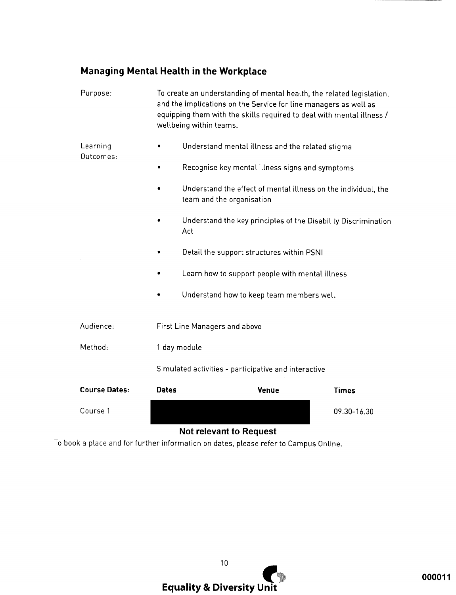## Managing Mental Health in the Workplace

| Purpose:              |                                                      | To create an understanding of mental health, the related legislation,<br>and the implications on the Service for line managers as well as<br>equipping them with the skills required to deal with mental illness /<br>wellbeing within teams. |              |  |
|-----------------------|------------------------------------------------------|-----------------------------------------------------------------------------------------------------------------------------------------------------------------------------------------------------------------------------------------------|--------------|--|
| Learning<br>Outcomes: |                                                      | Understand mental illness and the related stigma                                                                                                                                                                                              |              |  |
|                       |                                                      | Recognise key mental illness signs and symptoms                                                                                                                                                                                               |              |  |
|                       |                                                      | Understand the effect of mental illness on the individual, the<br>team and the organisation                                                                                                                                                   |              |  |
|                       |                                                      | Understand the key principles of the Disability Discrimination<br>Act                                                                                                                                                                         |              |  |
|                       |                                                      | Detail the support structures within PSNI                                                                                                                                                                                                     |              |  |
|                       |                                                      | Learn how to support people with mental illness                                                                                                                                                                                               |              |  |
|                       |                                                      | Understand how to keep team members well                                                                                                                                                                                                      |              |  |
| Audience:             |                                                      | First Line Managers and above                                                                                                                                                                                                                 |              |  |
| Method:               | 1 day module                                         |                                                                                                                                                                                                                                               |              |  |
|                       | Simulated activities - participative and interactive |                                                                                                                                                                                                                                               |              |  |
| <b>Course Dates:</b>  | <b>Dates</b>                                         | Venue                                                                                                                                                                                                                                         | <b>Times</b> |  |
| Course 1              |                                                      |                                                                                                                                                                                                                                               | 09.30-16.30  |  |

## **Not relevant to Request**

To book a place and for further information on dates, please refer to Campus Online.

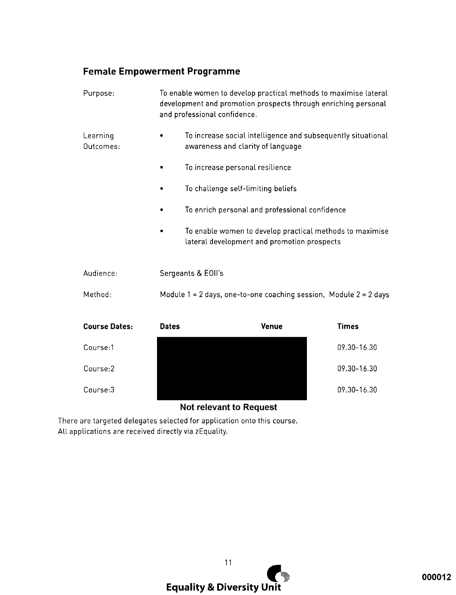## **Female Empowerment Programme**

| Purpose:              |              | To enable women to develop practical methods to maximise lateral<br>development and promotion prospects through enriching personal<br>and professional confidence. |              |  |
|-----------------------|--------------|--------------------------------------------------------------------------------------------------------------------------------------------------------------------|--------------|--|
| Learning<br>Outcomes: |              | To increase social intelligence and subsequently situational<br>awareness and clarity of language                                                                  |              |  |
|                       |              | To increase personal resilience                                                                                                                                    |              |  |
|                       |              | To challenge self-limiting beliefs                                                                                                                                 |              |  |
|                       |              | To enrich personal and professional confidence                                                                                                                     |              |  |
|                       |              | To enable women to develop practical methods to maximise<br>lateral development and promotion prospects                                                            |              |  |
| Audience:             |              | Sergeants & EOII's                                                                                                                                                 |              |  |
| Method:               |              | Module $1 = 2$ days, one-to-one coaching session, Module $2 = 2$ days                                                                                              |              |  |
| <b>Course Dates:</b>  | <b>Dates</b> | <b>Venue</b>                                                                                                                                                       | <b>Times</b> |  |
| Course:1              |              |                                                                                                                                                                    | 09.30-16.30  |  |
| Course:2              |              |                                                                                                                                                                    | 09.30-16.30  |  |
| Course:3              |              |                                                                                                                                                                    | 09.30-16.30  |  |

## **Not relevant to Request**

There are targeted delegates selected for application onto this course. All applications are received directly via zEquality.

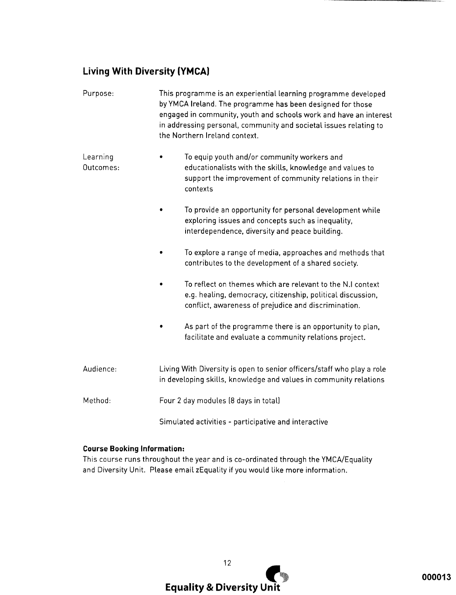## **Living With Diversity (YMCA)**

| Purpose:              | This programme is an experiential learning programme developed<br>by YMCA Ireland. The programme has been designed for those<br>engaged in community, youth and schools work and have an interest<br>in addressing personal, community and societal issues relating to<br>the Northern Ireland context. |  |  |
|-----------------------|---------------------------------------------------------------------------------------------------------------------------------------------------------------------------------------------------------------------------------------------------------------------------------------------------------|--|--|
| Learning<br>Outcomes: | To equip youth and/or community workers and<br>educationalists with the skills, knowledge and values to<br>support the improvement of community relations in their<br>contexts                                                                                                                          |  |  |
|                       | To provide an opportunity for personal development while<br>exploring issues and concepts such as inequality,<br>interdependence, diversity and peace building.                                                                                                                                         |  |  |
|                       | To explore a range of media, approaches and methods that<br>contributes to the development of a shared society.                                                                                                                                                                                         |  |  |
|                       | To reflect on themes which are relevant to the N.I context<br>e.g. healing, democracy, citizenship, political discussion,<br>conflict, awareness of prejudice and discrimination.                                                                                                                       |  |  |
|                       | As part of the programme there is an opportunity to plan,<br>facilitate and evaluate a community relations project.                                                                                                                                                                                     |  |  |
| Audience:             | Living With Diversity is open to senior officers/staff who play a role<br>in developing skills, knowledge and values in community relations                                                                                                                                                             |  |  |
| Method:               | Four 2 day modules (8 days in total)                                                                                                                                                                                                                                                                    |  |  |
|                       | Simulated activities - participative and interactive                                                                                                                                                                                                                                                    |  |  |

#### **Course Booking Information:**

This course runs throughout the year and is co-ordinated through the YMCA/Equality and Diversity Unit. Please email zEquality if you would like more information.

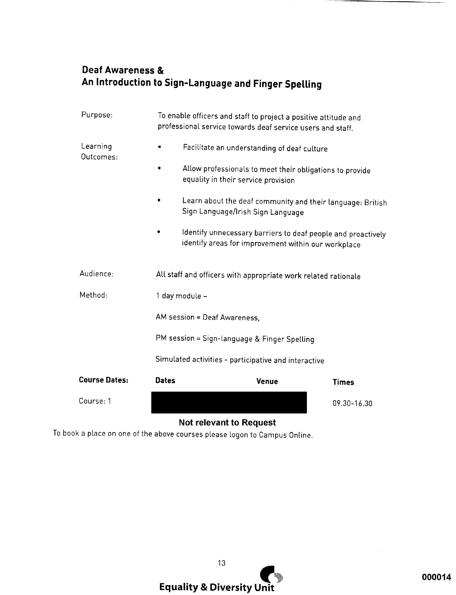## **Deaf Awareness &** An Introduction to Sign-Language and Finger Spelling

| Purpose:              |                                              | To enable officers and staff to project a positive attitude and<br>professional service towards deaf service users and staff. |             |  |
|-----------------------|----------------------------------------------|-------------------------------------------------------------------------------------------------------------------------------|-------------|--|
| Learning<br>Outcomes: |                                              | Facilitate an understanding of deaf culture                                                                                   |             |  |
|                       |                                              | Allow professionals to meet their obligations to provide<br>equality in their service provision                               |             |  |
|                       |                                              | Learn about the deaf community and their language: British<br>Sign Language/Irish Sign Language                               |             |  |
|                       |                                              | Identify unnecessary barriers to deaf people and proactively<br>identify areas for improvement within our workplace           |             |  |
| Audience:             |                                              | All staff and officers with appropriate work related rationale                                                                |             |  |
| Method:               |                                              | 1 day module -                                                                                                                |             |  |
|                       | AM session = Deaf Awareness,                 |                                                                                                                               |             |  |
|                       | PM session = Sign-language & Finger Spelling |                                                                                                                               |             |  |
|                       |                                              | Simulated activities - participative and interactive                                                                          |             |  |
| <b>Course Dates:</b>  | <b>Dates</b>                                 | <b>Venue</b>                                                                                                                  | Times       |  |
| Course: 1             |                                              |                                                                                                                               | 09.30-16.30 |  |

## **Not relevant to Request**

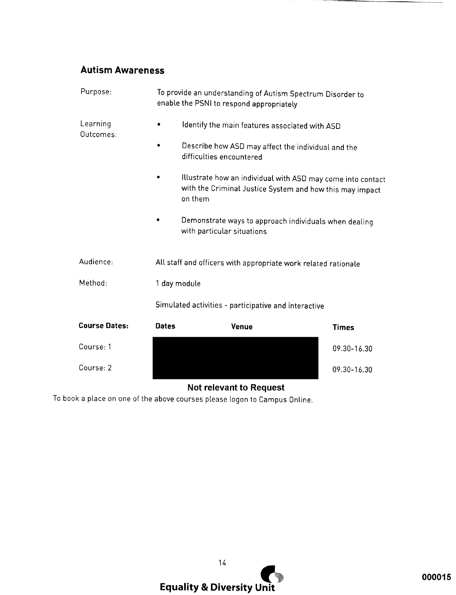## **Autism Awareness**

| Purpose:              |              | To provide an understanding of Autism Spectrum Disorder to<br>enable the PSNI to respond appropriately                             |              |
|-----------------------|--------------|------------------------------------------------------------------------------------------------------------------------------------|--------------|
| Learning<br>Outcomes: |              | Identify the main features associated with ASD                                                                                     |              |
|                       |              | Describe how ASD may affect the individual and the<br>difficulties encountered                                                     |              |
|                       |              | Illustrate how an individual with ASD may come into contact<br>with the Criminal Justice System and how this may impact<br>on them |              |
|                       |              | Demonstrate ways to approach individuals when dealing<br>with particular situations                                                |              |
| Audience:             |              | All staff and officers with appropriate work related rationale                                                                     |              |
| Method:               | 1 day module |                                                                                                                                    |              |
|                       |              | Simulated activities - participative and interactive                                                                               |              |
| <b>Course Dates:</b>  | <b>Dates</b> | Venue                                                                                                                              | <b>Times</b> |
| Course: 1             |              |                                                                                                                                    | 09.30-16.30  |
| Course: 2             |              |                                                                                                                                    | 09.30-16.30  |

## **Not relevant to Request**

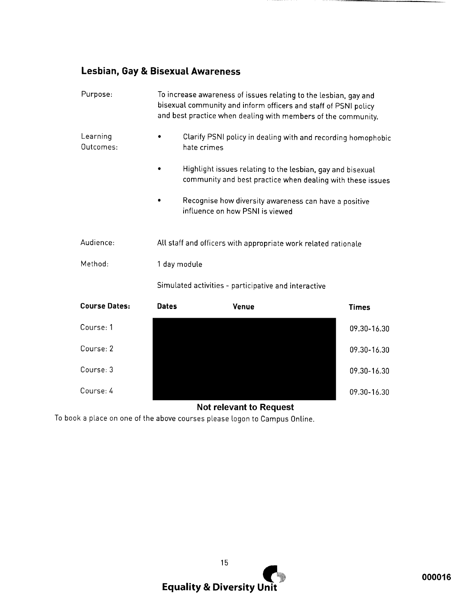## Lesbian, Gay & Bisexual Awareness

| Purpose:              | To increase awareness of issues relating to the lesbian, gay and<br>bisexual community and inform officers and staff of PSNI policy<br>and best practice when dealing with members of the community. |                                                                                                                          |              |  |
|-----------------------|------------------------------------------------------------------------------------------------------------------------------------------------------------------------------------------------------|--------------------------------------------------------------------------------------------------------------------------|--------------|--|
| Learning<br>Outcomes: |                                                                                                                                                                                                      | Clarify PSNI policy in dealing with and recording homophobic<br>hate crimes                                              |              |  |
|                       |                                                                                                                                                                                                      | Highlight issues relating to the lesbian, gay and bisexual<br>community and best practice when dealing with these issues |              |  |
|                       |                                                                                                                                                                                                      | Recognise how diversity awareness can have a positive<br>influence on how PSNI is viewed                                 |              |  |
| Audience:             | All staff and officers with appropriate work related rationale                                                                                                                                       |                                                                                                                          |              |  |
| Method:               | 1 day module                                                                                                                                                                                         |                                                                                                                          |              |  |
|                       | Simulated activities - participative and interactive                                                                                                                                                 |                                                                                                                          |              |  |
| <b>Course Dates:</b>  | <b>Dates</b>                                                                                                                                                                                         | <b>Venue</b>                                                                                                             | <b>Times</b> |  |
| Course: 1             |                                                                                                                                                                                                      |                                                                                                                          | 09.30-16.30  |  |
| Course: 2             |                                                                                                                                                                                                      |                                                                                                                          | 09.30-16.30  |  |
| Course: 3             |                                                                                                                                                                                                      |                                                                                                                          | 09.30-16.30  |  |
| Course: 4             |                                                                                                                                                                                                      |                                                                                                                          | 09.30-16.30  |  |

## **Not relevant to Request**

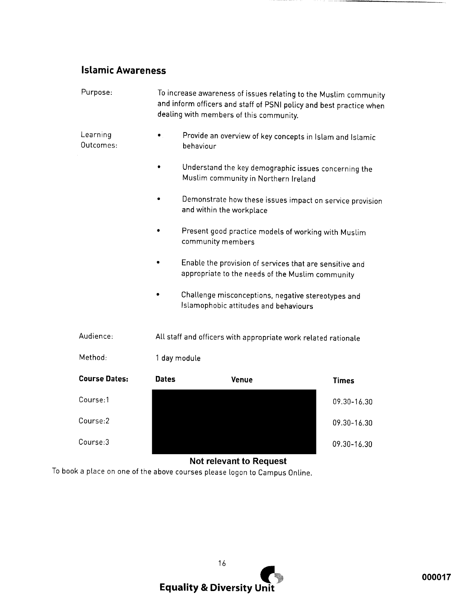## **Islamic Awareness**

| Purpose:              | To increase awareness of issues relating to the Muslim community<br>and inform officers and staff of PSNI policy and best practice when<br>dealing with members of this community. |                                                                                                             |              |  |  |
|-----------------------|------------------------------------------------------------------------------------------------------------------------------------------------------------------------------------|-------------------------------------------------------------------------------------------------------------|--------------|--|--|
| Learning<br>Outcomes: |                                                                                                                                                                                    | Provide an overview of key concepts in Islam and Islamic<br>behaviour                                       |              |  |  |
|                       |                                                                                                                                                                                    | Understand the key demographic issues concerning the<br>Muslim community in Northern Ireland                |              |  |  |
|                       |                                                                                                                                                                                    | Demonstrate how these issues impact on service provision<br>and within the workplace                        |              |  |  |
|                       |                                                                                                                                                                                    | Present good practice models of working with Muslim<br>community members                                    |              |  |  |
|                       |                                                                                                                                                                                    | Enable the provision of services that are sensitive and<br>appropriate to the needs of the Muslim community |              |  |  |
|                       |                                                                                                                                                                                    | Challenge misconceptions, negative stereotypes and<br>Islamophobic attitudes and behaviours                 |              |  |  |
| Audience:             | All staff and officers with appropriate work related rationale                                                                                                                     |                                                                                                             |              |  |  |
| Method:               | 1 day module                                                                                                                                                                       |                                                                                                             |              |  |  |
| <b>Course Dates:</b>  | Dates                                                                                                                                                                              | <b>Venue</b>                                                                                                | <b>Times</b> |  |  |
| Course:1              |                                                                                                                                                                                    |                                                                                                             | 09.30-16.30  |  |  |
| Course:2              |                                                                                                                                                                                    |                                                                                                             | 09.30-16.30  |  |  |
| Course:3              |                                                                                                                                                                                    |                                                                                                             | 09.30-16.30  |  |  |

Not relevant to Request

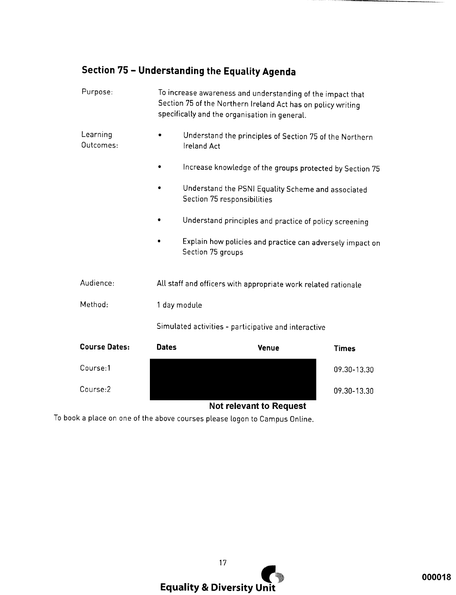## Section 75 - Understanding the Equality Agenda

| Purpose:              | To increase awareness and understanding of the impact that<br>Section 75 of the Northern Ireland Act has on policy writing<br>specifically and the organisation in general. |                                                                                   |              |  |
|-----------------------|-----------------------------------------------------------------------------------------------------------------------------------------------------------------------------|-----------------------------------------------------------------------------------|--------------|--|
| Learning<br>Outcomes: |                                                                                                                                                                             | Understand the principles of Section 75 of the Northern<br>Ireland Act            |              |  |
|                       |                                                                                                                                                                             | Increase knowledge of the groups protected by Section 75                          |              |  |
|                       |                                                                                                                                                                             | Understand the PSNI Equality Scheme and associated<br>Section 75 responsibilities |              |  |
|                       |                                                                                                                                                                             | Understand principles and practice of policy screening                            |              |  |
|                       |                                                                                                                                                                             | Explain how policies and practice can adversely impact on<br>Section 75 groups    |              |  |
| Audience:             |                                                                                                                                                                             | All staff and officers with appropriate work related rationale                    |              |  |
| Method:               | 1 day module                                                                                                                                                                |                                                                                   |              |  |
|                       | Simulated activities - participative and interactive                                                                                                                        |                                                                                   |              |  |
| <b>Course Dates:</b>  | <b>Dates</b>                                                                                                                                                                | <b>Venue</b>                                                                      | <b>Times</b> |  |
| Course:1              |                                                                                                                                                                             |                                                                                   | 09.30-13.30  |  |
| Course:2              |                                                                                                                                                                             |                                                                                   | 09.30-13.30  |  |

## **Not relevant to Request**

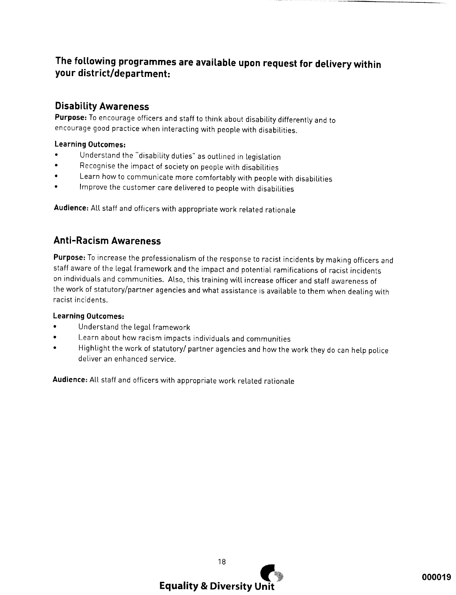## The following programmes are available upon request for delivery within your district/department:

## **Disability Awareness**

Purpose: To encourage officers and staff to think about disability differently and to encourage good practice when interacting with people with disabilities.

#### **Learning Outcomes:**

- Understand the "disability duties" as outlined in legislation
- $\bullet$ Recognise the impact of society on people with disabilities
- Learn how to communicate more comfortably with people with disabilities  $\bullet$
- Improve the customer care delivered to people with disabilities  $\bullet$

Audience: All staff and officers with appropriate work related rationale

## **Anti-Racism Awareness**

Purpose: To increase the professionalism of the response to racist incidents by making officers and staff aware of the legal framework and the impact and potential ramifications of racist incidents on individuals and communities. Also, this training will increase officer and staff awareness of the work of statutory/partner agencies and what assistance is available to them when dealing with racist incidents.

#### **Learning Outcomes:**

- Understand the legal framework
- Learn about how racism impacts individuals and communities
- Highlight the work of statutory/ partner agencies and how the work they do can help police deliver an enhanced service.

Audience: All staff and officers with appropriate work related rationale